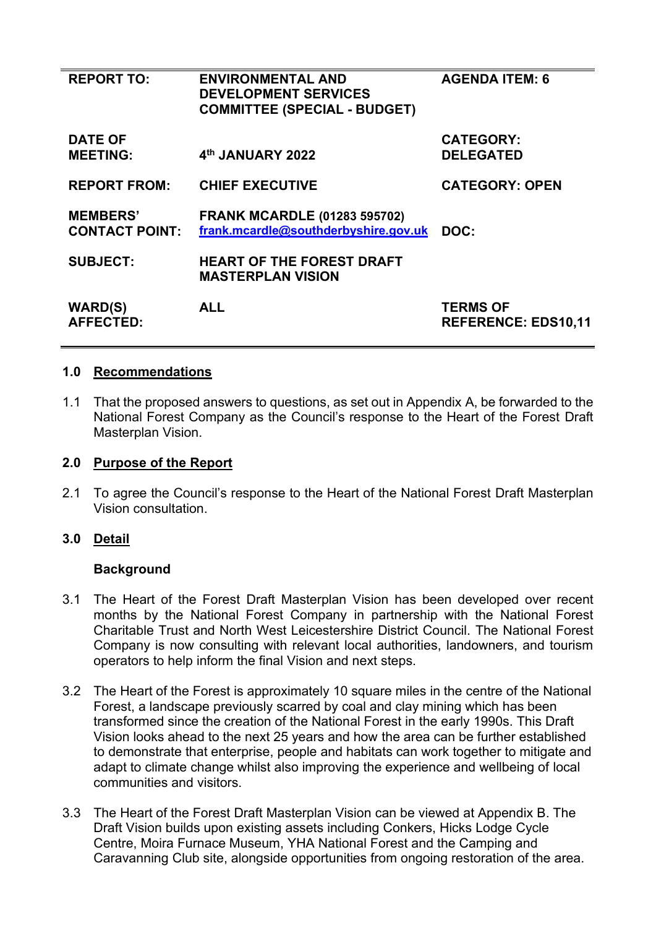| <b>REPORT TO:</b>                        | <b>ENVIRONMENTAL AND</b><br><b>DEVELOPMENT SERVICES</b><br><b>COMMITTEE (SPECIAL - BUDGET)</b> | <b>AGENDA ITEM: 6</b>                         |
|------------------------------------------|------------------------------------------------------------------------------------------------|-----------------------------------------------|
| <b>DATE OF</b><br><b>MEETING:</b>        | 4th JANUARY 2022                                                                               | <b>CATEGORY:</b><br><b>DELEGATED</b>          |
| <b>REPORT FROM:</b>                      | <b>CHIEF EXECUTIVE</b>                                                                         | <b>CATEGORY: OPEN</b>                         |
| <b>MEMBERS'</b><br><b>CONTACT POINT:</b> | <b>FRANK MCARDLE (01283 595702)</b><br>frank.mcardle@southderbyshire.gov.uk                    | DOC:                                          |
| <b>SUBJECT:</b>                          | <b>HEART OF THE FOREST DRAFT</b><br><b>MASTERPLAN VISION</b>                                   |                                               |
| <b>WARD(S)</b><br><b>AFFECTED:</b>       | <b>ALL</b>                                                                                     | <b>TERMS OF</b><br><b>REFERENCE: EDS10,11</b> |

## **1.0 Recommendations**

1.1 That the proposed answers to questions, as set out in Appendix A, be forwarded to the National Forest Company as the Council's response to the Heart of the Forest Draft Masterplan Vision.

## **2.0 Purpose of the Report**

2.1 To agree the Council's response to the Heart of the National Forest Draft Masterplan Vision consultation.

# **3.0 Detail**

### **Background**

- 3.1 The Heart of the Forest Draft Masterplan Vision has been developed over recent months by the National Forest Company in partnership with the National Forest Charitable Trust and North West Leicestershire District Council. The National Forest Company is now consulting with relevant local authorities, landowners, and tourism operators to help inform the final Vision and next steps.
- 3.2 The Heart of the Forest is approximately 10 square miles in the centre of the National Forest, a landscape previously scarred by coal and clay mining which has been transformed since the creation of the National Forest in the early 1990s. This Draft Vision looks ahead to the next 25 years and how the area can be further established to demonstrate that enterprise, people and habitats can work together to mitigate and adapt to climate change whilst also improving the experience and wellbeing of local communities and visitors.
- 3.3 The Heart of the Forest Draft Masterplan Vision can be viewed at Appendix B. The Draft Vision builds upon existing assets including Conkers, Hicks Lodge Cycle Centre, Moira Furnace Museum, YHA National Forest and the Camping and Caravanning Club site, alongside opportunities from ongoing restoration of the area.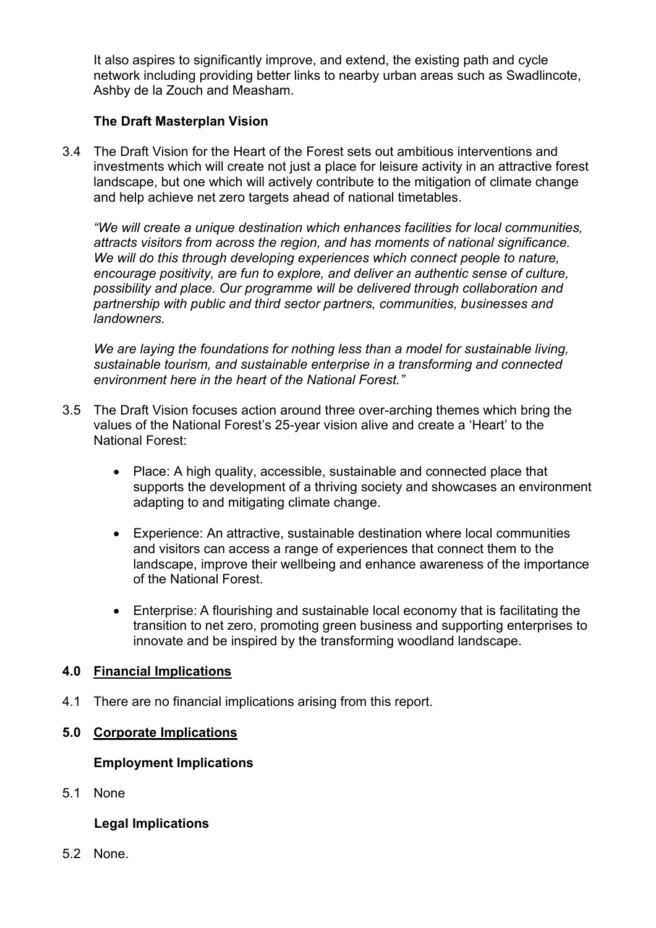It also aspires to significantly improve, and extend, the existing path and cycle network including providing better links to nearby urban areas such as Swadlincote, Ashby de la Zouch and Measham.

# **The Draft Masterplan Vision**

3.4 The Draft Vision for the Heart of the Forest sets out ambitious interventions and investments which will create not just a place for leisure activity in an attractive forest landscape, but one which will actively contribute to the mitigation of climate change and help achieve net zero targets ahead of national timetables.

*"We will create a unique destination which enhances facilities for local communities, attracts visitors from across the region, and has moments of national significance. We will do this through developing experiences which connect people to nature, encourage positivity, are fun to explore, and deliver an authentic sense of culture, possibility and place. Our programme will be delivered through collaboration and partnership with public and third sector partners, communities, businesses and landowners.* 

*We are laying the foundations for nothing less than a model for sustainable living, sustainable tourism, and sustainable enterprise in a transforming and connected environment here in the heart of the National Forest."*

- 3.5 The Draft Vision focuses action around three over-arching themes which bring the values of the National Forest's 25-year vision alive and create a 'Heart' to the National Forest:
	- Place: A high quality, accessible, sustainable and connected place that supports the development of a thriving society and showcases an environment adapting to and mitigating climate change.
	- Experience: An attractive, sustainable destination where local communities and visitors can access a range of experiences that connect them to the landscape, improve their wellbeing and enhance awareness of the importance of the National Forest.
	- Enterprise: A flourishing and sustainable local economy that is facilitating the transition to net zero, promoting green business and supporting enterprises to innovate and be inspired by the transforming woodland landscape.

# **4.0 Financial Implications**

4.1 There are no financial implications arising from this report.

# **5.0 Corporate Implications**

# **Employment Implications**

5.1 None

# **Legal Implications**

5.2 None.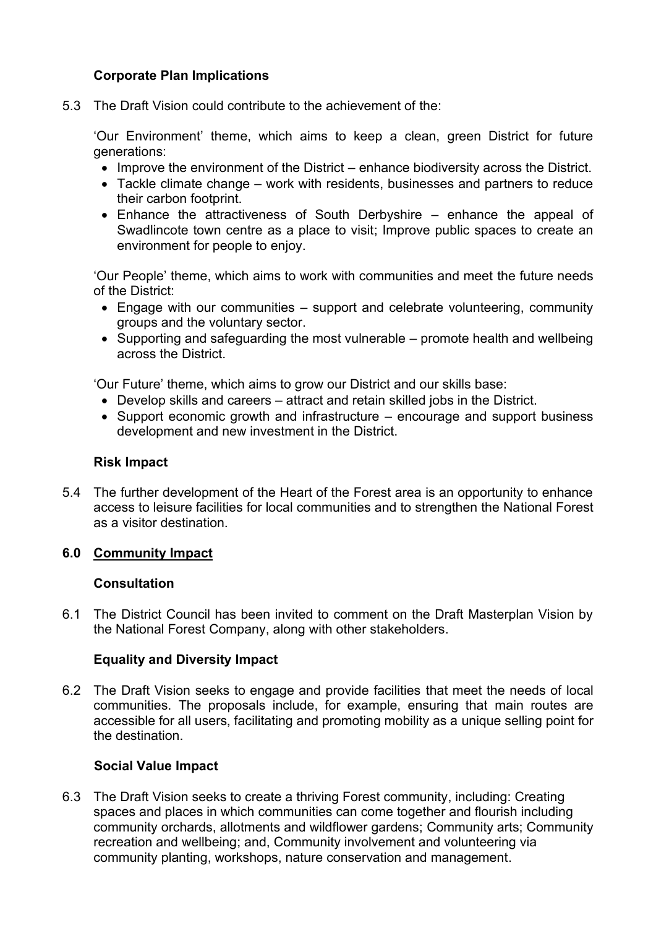# **Corporate Plan Implications**

5.3 The Draft Vision could contribute to the achievement of the:

'Our Environment' theme, which aims to keep a clean, green District for future generations:

- Improve the environment of the District enhance biodiversity across the District.
- Tackle climate change work with residents, businesses and partners to reduce their carbon footprint.
- Enhance the attractiveness of South Derbyshire enhance the appeal of Swadlincote town centre as a place to visit; Improve public spaces to create an environment for people to enjoy.

'Our People' theme, which aims to work with communities and meet the future needs of the District:

- Engage with our communities support and celebrate volunteering, community groups and the voluntary sector.
- Supporting and safeguarding the most vulnerable promote health and wellbeing across the District.

'Our Future' theme, which aims to grow our District and our skills base:

- Develop skills and careers attract and retain skilled jobs in the District.
- Support economic growth and infrastructure encourage and support business development and new investment in the District.

## **Risk Impact**

5.4 The further development of the Heart of the Forest area is an opportunity to enhance access to leisure facilities for local communities and to strengthen the National Forest as a visitor destination.

### **6.0 Community Impact**

### **Consultation**

6.1 The District Council has been invited to comment on the Draft Masterplan Vision by the National Forest Company, along with other stakeholders.

### **Equality and Diversity Impact**

6.2 The Draft Vision seeks to engage and provide facilities that meet the needs of local communities. The proposals include, for example, ensuring that main routes are accessible for all users, facilitating and promoting mobility as a unique selling point for the destination.

### **Social Value Impact**

6.3 The Draft Vision seeks to create a thriving Forest community, including: Creating spaces and places in which communities can come together and flourish including community orchards, allotments and wildflower gardens; Community arts; Community recreation and wellbeing; and, Community involvement and volunteering via community planting, workshops, nature conservation and management.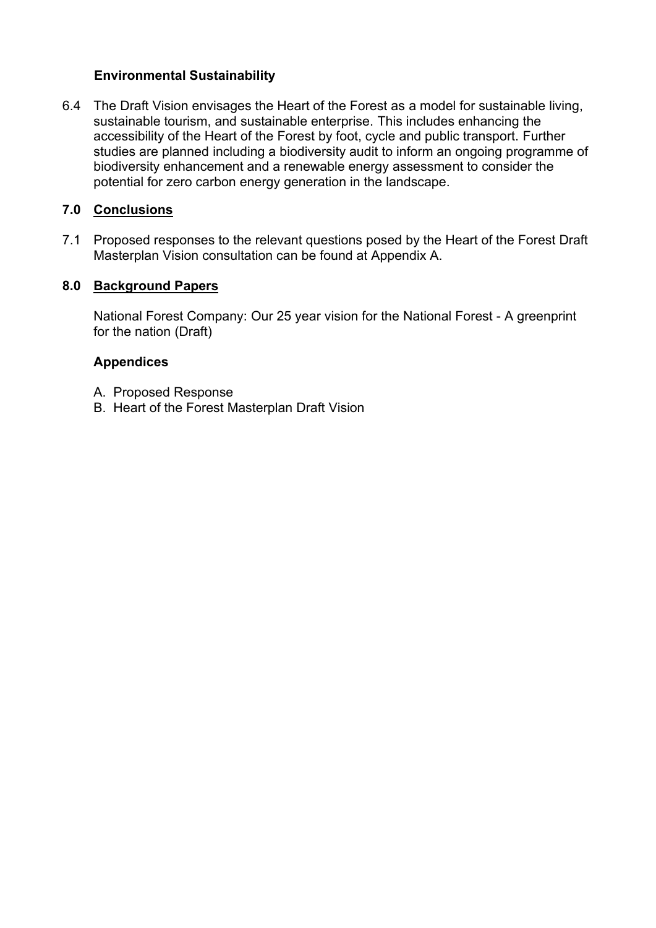## **Environmental Sustainability**

6.4 The Draft Vision envisages the Heart of the Forest as a model for sustainable living, sustainable tourism, and sustainable enterprise. This includes enhancing the accessibility of the Heart of the Forest by foot, cycle and public transport. Further studies are planned including a biodiversity audit to inform an ongoing programme of biodiversity enhancement and a renewable energy assessment to consider the potential for zero carbon energy generation in the landscape.

# **7.0 Conclusions**

7.1 Proposed responses to the relevant questions posed by the Heart of the Forest Draft Masterplan Vision consultation can be found at Appendix A.

# **8.0 Background Papers**

 National Forest Company: Our 25 year vision for the National Forest - A greenprint for the nation (Draft)

# **Appendices**

- A. Proposed Response
- B. Heart of the Forest Masterplan Draft Vision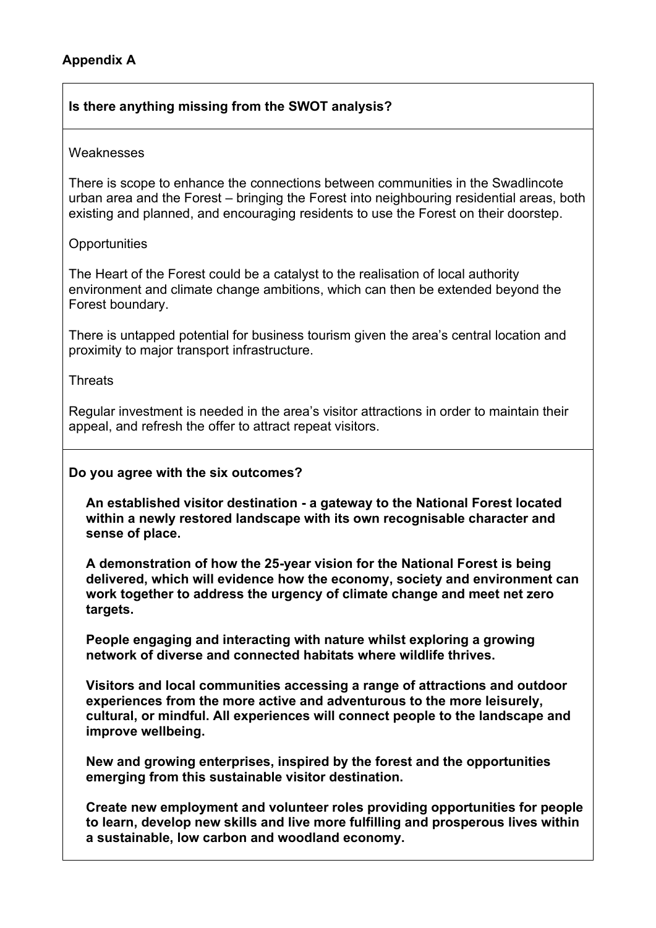# **Is there anything missing from the SWOT analysis?**

#### **Weaknesses**

There is scope to enhance the connections between communities in the Swadlincote urban area and the Forest – bringing the Forest into neighbouring residential areas, both existing and planned, and encouraging residents to use the Forest on their doorstep.

## **Opportunities**

The Heart of the Forest could be a catalyst to the realisation of local authority environment and climate change ambitions, which can then be extended beyond the Forest boundary.

There is untapped potential for business tourism given the area's central location and proximity to major transport infrastructure.

**Threats** 

Regular investment is needed in the area's visitor attractions in order to maintain their appeal, and refresh the offer to attract repeat visitors.

### **Do you agree with the six outcomes?**

**An established visitor destination - a gateway to the National Forest located within a newly restored landscape with its own recognisable character and sense of place.** 

**A demonstration of how the 25-year vision for the National Forest is being delivered, which will evidence how the economy, society and environment can work together to address the urgency of climate change and meet net zero targets.** 

**People engaging and interacting with nature whilst exploring a growing network of diverse and connected habitats where wildlife thrives.** 

**Visitors and local communities accessing a range of attractions and outdoor experiences from the more active and adventurous to the more leisurely, cultural, or mindful. All experiences will connect people to the landscape and improve wellbeing.** 

**New and growing enterprises, inspired by the forest and the opportunities emerging from this sustainable visitor destination.** 

**Create new employment and volunteer roles providing opportunities for people to learn, develop new skills and live more fulfilling and prosperous lives within a sustainable, low carbon and woodland economy.**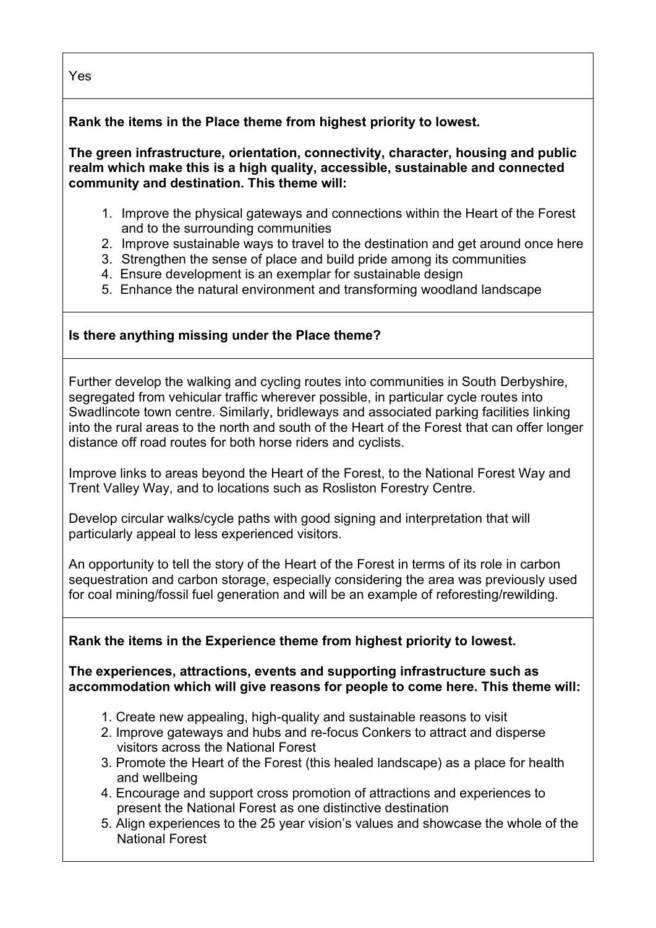**Rank the items in the Place theme from highest priority to lowest.** 

**The green infrastructure, orientation, connectivity, character, housing and public realm which make this is a high quality, accessible, sustainable and connected community and destination. This theme will:** 

- 1. Improve the physical gateways and connections within the Heart of the Forest and to the surrounding communities
- 2. Improve sustainable ways to travel to the destination and get around once here
- 3. Strengthen the sense of place and build pride among its communities
- 4. Ensure development is an exemplar for sustainable design
- 5. Enhance the natural environment and transforming woodland landscape

# **Is there anything missing under the Place theme?**

Further develop the walking and cycling routes into communities in South Derbyshire, segregated from vehicular traffic wherever possible, in particular cycle routes into Swadlincote town centre. Similarly, bridleways and associated parking facilities linking into the rural areas to the north and south of the Heart of the Forest that can offer longer distance off road routes for both horse riders and cyclists.

Improve links to areas beyond the Heart of the Forest, to the National Forest Way and Trent Valley Way, and to locations such as Rosliston Forestry Centre.

Develop circular walks/cycle paths with good signing and interpretation that will particularly appeal to less experienced visitors.

An opportunity to tell the story of the Heart of the Forest in terms of its role in carbon sequestration and carbon storage, especially considering the area was previously used for coal mining/fossil fuel generation and will be an example of reforesting/rewilding.

# **Rank the items in the Experience theme from highest priority to lowest.**

# **The experiences, attractions, events and supporting infrastructure such as accommodation which will give reasons for people to come here. This theme will:**

- 1. Create new appealing, high-quality and sustainable reasons to visit
- 2. Improve gateways and hubs and re-focus Conkers to attract and disperse visitors across the National Forest
- 3. Promote the Heart of the Forest (this healed landscape) as a place for health and wellbeing
- 4. Encourage and support cross promotion of attractions and experiences to present the National Forest as one distinctive destination
- 5. Align experiences to the 25 year vision's values and showcase the whole of the National Forest

Yes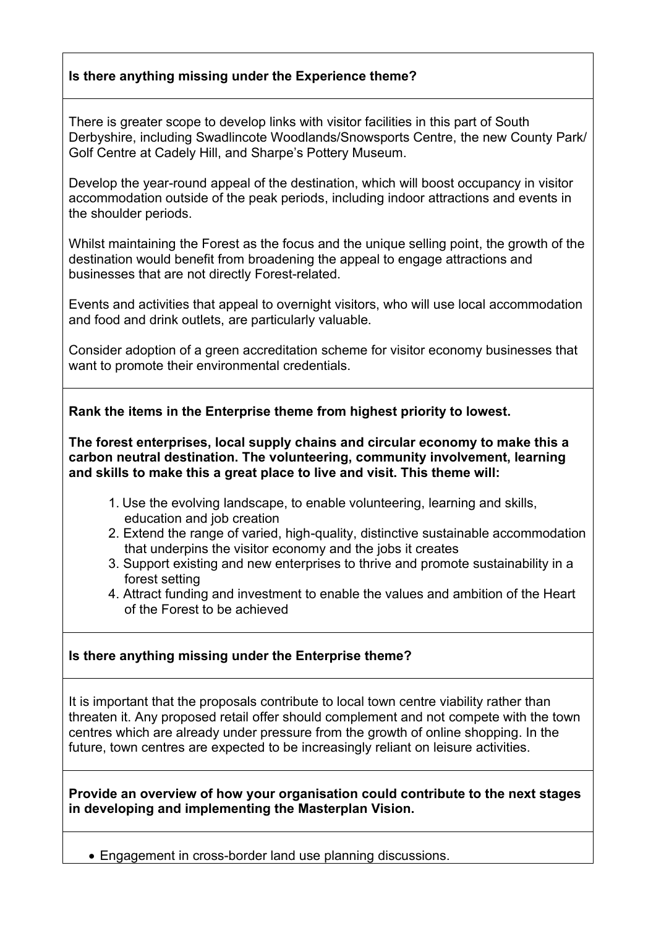# **Is there anything missing under the Experience theme?**

There is greater scope to develop links with visitor facilities in this part of South Derbyshire, including Swadlincote Woodlands/Snowsports Centre, the new County Park/ Golf Centre at Cadely Hill, and Sharpe's Pottery Museum.

Develop the year-round appeal of the destination, which will boost occupancy in visitor accommodation outside of the peak periods, including indoor attractions and events in the shoulder periods.

Whilst maintaining the Forest as the focus and the unique selling point, the growth of the destination would benefit from broadening the appeal to engage attractions and businesses that are not directly Forest-related.

Events and activities that appeal to overnight visitors, who will use local accommodation and food and drink outlets, are particularly valuable.

Consider adoption of a green accreditation scheme for visitor economy businesses that want to promote their environmental credentials.

**Rank the items in the Enterprise theme from highest priority to lowest.** 

**The forest enterprises, local supply chains and circular economy to make this a carbon neutral destination. The volunteering, community involvement, learning and skills to make this a great place to live and visit. This theme will:** 

- 1. Use the evolving landscape, to enable volunteering, learning and skills, education and job creation
- 2. Extend the range of varied, high-quality, distinctive sustainable accommodation that underpins the visitor economy and the jobs it creates
- 3. Support existing and new enterprises to thrive and promote sustainability in a forest setting
- 4. Attract funding and investment to enable the values and ambition of the Heart of the Forest to be achieved

# **Is there anything missing under the Enterprise theme?**

It is important that the proposals contribute to local town centre viability rather than threaten it. Any proposed retail offer should complement and not compete with the town centres which are already under pressure from the growth of online shopping. In the future, town centres are expected to be increasingly reliant on leisure activities.

**Provide an overview of how your organisation could contribute to the next stages in developing and implementing the Masterplan Vision.** 

• Engagement in cross-border land use planning discussions.